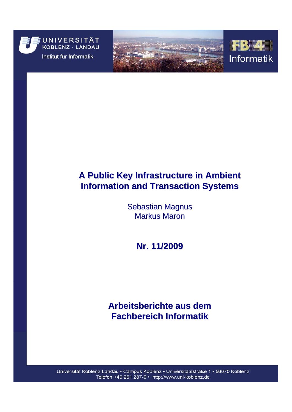





# **A Public Key Infrastructure in Ambient Information and Transaction Systems Information and Transaction Systems**

**Sebastian Magnus Markus Maron** 

**Nr. 11/2009 11/2009**

# **Arbeitsberichte aus dem Fachbereich Informatik Fachbereich Informatik**

Universität Koblenz-Landau · Campus Koblenz · Universitätsstraße 1 · 56070 Koblenz Telefon +49 261 287-0 · http://www.uni-koblenz.de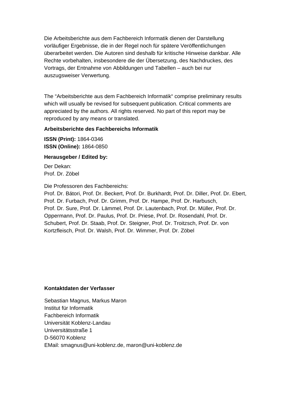Die Arbeitsberichte aus dem Fachbereich Informatik dienen der Darstellung vorläufiger Ergebnisse, die in der Regel noch für spätere Veröffentlichungen überarbeitet werden. Die Autoren sind deshalb für kritische Hinweise dankbar. Alle Rechte vorbehalten, insbesondere die der Übersetzung, des Nachdruckes, des Vortrags, der Entnahme von Abbildungen und Tabellen – auch bei nur auszugsweiser Verwertung.

The "Arbeitsberichte aus dem Fachbereich Informatik" comprise preliminary results which will usually be revised for subsequent publication. Critical comments are appreciated by the authors. All rights reserved. No part of this report may be reproduced by any means or translated.

### **Arbeitsberichte des Fachbereichs Informatik**

**ISSN (Print):** 1864-0346 **ISSN (Online):** 1864-0850

### **Herausgeber / Edited by:**

Der Dekan: Prof. Dr. Zöbel

Die Professoren des Fachbereichs:

Prof. Dr. Bátori, Prof. Dr. Beckert, Prof. Dr. Burkhardt, Prof. Dr. Diller, Prof. Dr. Ebert, Prof. Dr. Furbach, Prof. Dr. Grimm, Prof. Dr. Hampe, Prof. Dr. Harbusch, Prof. Dr. Sure, Prof. Dr. Lämmel, Prof. Dr. Lautenbach, Prof. Dr. Müller, Prof. Dr. Oppermann, Prof. Dr. Paulus, Prof. Dr. Priese, Prof. Dr. Rosendahl, Prof. Dr. Schubert, Prof. Dr. Staab, Prof. Dr. Steigner, Prof. Dr. Troitzsch, Prof. Dr. von Kortzfleisch, Prof. Dr. Walsh, Prof. Dr. Wimmer, Prof. Dr. Zöbel

### **Kontaktdaten der Verfasser**

Sebastian Magnus, Markus Maron Institut für Informatik Fachbereich Informatik Universität Koblenz-Landau Universitätsstraße 1 D-56070 Koblenz EMail: [smagnus@uni-koblenz.de](mailto:smagnus@uni-koblenz.de), maron@uni-koblenz.de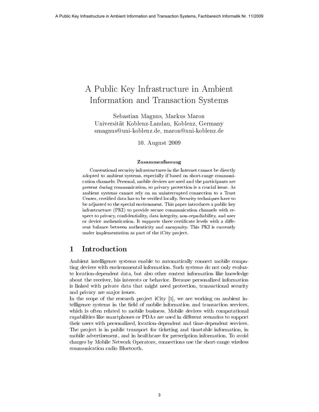# A Public Key Infrastructure in Ambient Information and Transaction Systems

Sebastian Magnus, Markus Maron Universität Koblenz-Landau, Koblenz, Germany smagnus@uni-koblenz.de, maron@uni-koblenz.de

10. August 2009

#### Zusammenfassung

Conventional security infrastructures in the Internet cannot be directly adopted to ambient systems, especially if based on short-range communication channels: Personal, mobile devices are used and the participants are present during communication, so privacy protection is a crucial issue. As ambient systems cannot rely on an uninterrupted connection to a Trust Center, certified data has to be verified locally. Security techniques have to be adjusted to the special environment. This paper introduces a public key infrastructure (PKI) to provide secure communication channels with respect to privacy, confidentiality, data integrity, non-repudiability, and user or device authentication. It supports three certificate levels with a different balance between authenticity and anonymity. This PKI is currently under implementation as part of the iCity project.

### 1 Introduction

Ambient intelligence systems enable to automatically connect mobile computing devices with environmental information. Such systems do not only evaluate location-dependent data, but also other context information like knowledge about the receiver, his interests or behavior. Because personalized information is linked with private data that might need protection, transactional security and privacy are major issues.

In the scope of the research project iCity [1], we are working on ambient intelligence systems in the field of mobile information and transaction services, which is often related to mobile business. Mobile devices with computational capabilities like smartphones or PDAs are used in different scenarios to support their users with personalized, location-dependent and time-dependent services. The project is in public transport for ticketing and timetable information, in mobile advertisement, and in healthcare for prescription information. To avoid charges by Mobile Network Operators, connections use the short-range wireless communication radio Bluetooth.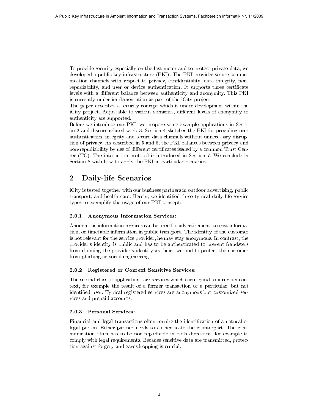To provide security especially on the last meter and to protect private data, we developed a public key infrastructure (PKI). The PKI provides secure communication channels with respect to privacy, condentiality, data integrity, nonrepudiability, and user or device authentication. It supports three certificate levels with a different balance between authenticity and anonymity. This PKI is currently under implementation as part of the iCity project.

The paper describes a security concept which is under development within the iCity project. Adjustable to various scenarios, different levels of anonymity or authenticity are supported.

Before we introduce our PKI, we propose some example applications in Section 2 and discuss related work 3. Section 4 sketches the PKI for providing user authentication, integrity and secure data channels without unnecessary disruption of privacy. As described in 5 and 6, the PKI balances between privacy and non-repudiability by use of different certificates issued by a common Trust Center (TC). The interaction protocol is introduced in Section 7. We conclude in Section 8 with how to apply the PKI in particular scenarios.

# 2 Daily-life Scenarios

iCity is tested together with our business partners in outdoor advertising, public transport, and health care. Herein, we identied three typical daily-life service types to exemplify the usage of our PKI concept:

#### 2.0.1 Anonymous Information Services:

Anonymous information services can be used for advertisement, tourist information, or timetable information in public transport. The identity of the customer is not relevant for the service provider, he may stay anonymous. In contrast, the provider's identity is public and has to be authenticated to prevent fraudsters from claiming the provider's identity as their own and to protect the customer from phishing or social engineering.

#### 2.0.2 Registered or Context Sensitive Services:

The second class of applications are services which correspond to a certain context, for example the result of a former transaction or a particular, but not identified user. Typical registered services are anonymous but customized services and prepaid accounts.

#### 2.0.3 Personal Services:

Financial and legal transactions often require the identification of a natural or legal person. Either partner needs to authenticate the counterpart. The communication often has to be non-repudiable in both directions, for example to comply with legal requirements. Because sensitive data are transmitted, protection against forgery and eavesdropping is crucial.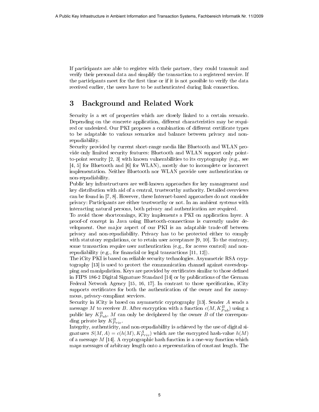If participants are able to register with their partner, they could transmit and verify their personal data and simplify the transaction to a registered service. If the participants meet for the first time or if it is not possible to verify the data received earlier, the users have to be authenticated during link connection.

# 3 Background and Related Work

Security is a set of properties which are closely linked to a certain scenario. Depending on the concrete application, different characteristics may be required or undesired. Our PKI proposes a combination of different certificate types to be adaptable to various scenarios and balance between privacy and nonrepudiability.

Security provided by current short-range media like Bluetooth and WLAN provide only limited security features: Bluetooth and WLAN support only pointto-point security [2, 3] with known vulnerabilities to its cryptography (e.g., see [4, 5] for Bluetooth and [6] for WLAN), mostly due to incomplete or incorrect implementation. Neither Bluetooth nor WLAN provide user authentication or non-repudiability.

Public key infrastructures are well-known approaches for key management and key distribution with aid of a central, trustworthy authority. Detailed overviews can be found in [7, 8]. However, these Internet-based approaches do not consider privacy: Participants are either trustworthy or not. In an ambient systems with interacting natural persons, both privacy and authentication are required.

To avoid those shortcomings, iCity implements a PKI on application layer. A proof-of concept in Java using Bluetooth-connections is currently under development. One major aspect of our PKI is an adaptable trade-off between privacy and non-repudiability. Privacy has to be protected either to comply with statutory regulations, or to retain user acceptance [9, 10]. To the contrary, some transaction require user authentication (e.g., for access control) and nonrepudiability (e.g., for financial or legal transactions  $[11, 12]$ ).

The iCity PKI is based on reliable security technologies. Asymmetric RSA cryptography [13] is used to protect the communication channel against eavesdropping and manipulation. Keys are provided by certificates similar to those defined in FIPS 186-2 Digital Signature Standard [14] or by publications of the German Federal Network Agency [15, 16, 17]. In contrast to those specification, iCity supports certificates for both the authentication of the owner and for anonymous, privacy-compliant services.

Security in iCity is based on asymmetric cryptography [13]. Sender A sends a message M to receiver B. After encryption with a function  $c(M, K_{Pub}^B)$  using a public key  $K_{Pub}^{B}$ , M can only be deciphered by the owner B of the corresponding private key  $K_{Priv}^B$ .

Integrity, authenticity, and non-repudiability is achieved by the use of digital signatures  $S(M, A) = c(h(M), K_{Priv}^A)$  which are the encrypted hash-value  $h(M)$ of a message  $M$  [14]. A cryptographic hash function is a one-way function which maps messages of arbitrary length onto a representation of constant length. The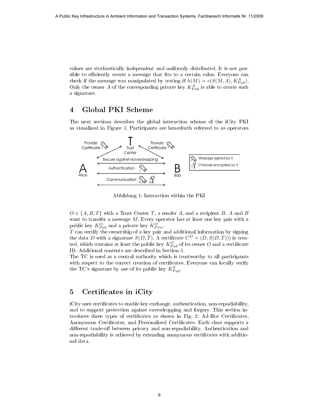values are stochastically independent and uniformly distributed. It is not possible to efficiently create a message that fits to a certain value. Everyone can check if the message was manipulated by testing if  $h(M) = c(S(M, A), K_{Pub}^A)$ . Only the owner A of the corresponding private key  $K_{Pub}^A$  is able to create such a signature.

# 4 Global PKI Scheme

The next sections describes the global interaction scheme of the iCity PKI as visualized in Figure 1. Participants are henceforth referred to as operators



Abbildung 1: Interaction within the PKI

 $O \in \{A, B, T\}$  with a Trust Center T, a sender A, and a recipient B. A and B want to transfer a message  $M$ . Every operator has at least one key pair with a public key  $K_{Pub}^{O}$  and a private key  $K_{Priv}^{O}$ .

 ${\cal T}$  can certify the ownership of a key pair and additional information by signing the data D with a signature  $S(D,T)$ . A certificate  $C^{D} = (D, S(D,T))$  is created, which contains at least the public key  $K_{Pub}^O$  of its owner  $O$  and a certificate ID. Additional contents are described in Section 5.

The TC is used as a central authority which is trustworthy to all participants with respect to the correct creation of certificates. Everyone can locally verify the TC's signature by use of its public key  $K_{Pub}^T$ .

## 5 Certificates in iCity

iCity uses certificates to enable key exchange, authentication, non-repudiability, and to support protection against eavesdropping and forgery. This section introduces three types of certificates as shown in Fig. 2: Ad-Hoc Certificates, Anonymous Certificates, and Personalized Certificates. Each class supports a different trade-off between privacy and non-repudiability. Authentication and non-repudiability is achieved by extending anonymous certificates with additional data.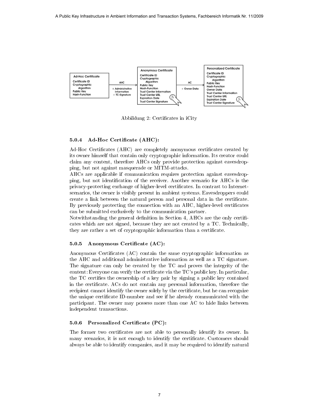

Abbildung 2: Certificates in iCity

#### 5.0.4 Ad-Hoc Certificate (AHC):

Ad-Hoc Certificates (AHC) are completely anonymous certificates created by its owner himself that contain only cryptographic information. Its creator could claim any content, therefore AHCs only provide protection against eavesdropping, but not against masquerade or MITM-attacks.

AHCs are applicable if communication requires protection against eavesdropping, but not identification of the receiver. Another scenario for AHCs is the privacy-protecting exchange of higher-level certificates. In contrast to Internetscenarios, the owner is visibly present in ambient systems. Eavesdroppers could create a link between the natural person and personal data in the certificate. By previously protecting the connection with an AHC, higher-level certificates can be submitted exclusively to the communication partner.

Notwithstanding the general definition in Section 4, AHCs are the only certificates which are not signed, because they are not created by a TC. Technically, they are rather a set of cryptographic information than a certificate.

#### 5.0.5 Anonymous Certificate (AC):

Anonymous Certificates (AC) contain the same cryptographic information as the AHC and additional administrative information as well as a TC signature. The signature can only be created by the TC and proves the integrity of the content: Everyone can verify the certificate via the  $TC$ 's public key. In particular, the TC certifies the ownership of a key pair by signing a public key contained in the certicate. ACs do not contain any personal information, therefore the recipient cannot identify the owner solely by the certificate, but he can recognize the unique certificate ID-number and see if he already communicated with the participant. The owner may possess more than one AC to hide links between independent transactions.

#### 5.0.6 Personalized Certificate (PC):

The former two certificates are not able to personally identify its owner. In many scenarios, it is not enough to identify the certificate. Customers should always be able to identify companies, and it may be required to identify natural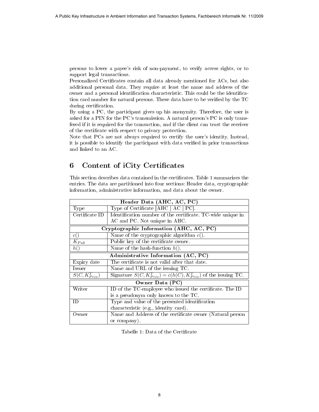persons to lower a payee's risk of non-payment, to verify access rights, or to support legal transactions.

Personalized Certificates contain all data already mentioned for ACs, but also additional personal data. They require at least the name and address of the owner and a personal identification characteristic. This could be the identification card number for natural persons. These data have to be verified by the  $TC$ during certification.

By using a PC, the participant gives up his anonymity. Therefore, the user is asked for a PIN for the PC's transmission. A natural person's PC is only transfered if it is required for the transaction, and if the client can trust the receiver of the certificate with respect to privacy protection.

Note that PCs are not always required to certify the user's identity. Instead, it is possible to identify the participant with data verified in prior transactions and linked to an AC.

## 6 Content of iCity Certificates

This section describes data contained in the certificates. Table 1 summarizes the entries. The data are partitioned into four sections: Header data, cryptographic information, administrative information, and data about the owner.

| Header Data (AHC, AC, PC)               |                                                                       |
|-----------------------------------------|-----------------------------------------------------------------------|
| Type                                    | Type of Certificate [AHC $ $ AC $ $ PC].                              |
| Certificate ID                          | Identification number of the certificate. TC-wide unique in           |
|                                         | AC and PC. Not unique in AHC.                                         |
| Cryptographic Information (AHC, AC, PC) |                                                                       |
| c()                                     | Name of the cryptographic algorithm $c()$ .                           |
| $K_{Pub}$                               | Public key of the certificate owner.                                  |
| h()                                     | Name of the hash-function $h()$ .                                     |
| Administrative Information (AC, PC)     |                                                                       |
| Expiry date                             | The certificate is not valid after that date.                         |
| Issuer                                  | Name and URL of the issuing TC.                                       |
| $\overline{S(C,K_{Priv}^T)}$            | Signature $S(C, K_{Priv}^T) = c(h(C), K_{Priv}^T)$ of the issuing TC. |
| Owner Data (PC)                         |                                                                       |
| Writer                                  | ID of the TC-employee who issued the certificate. The ID              |
|                                         | is a pseudonym only known to the TC.                                  |
| ID.                                     | Type and value of the presented identification                        |
|                                         | characteristic (e.g., identity card).                                 |
| Owner                                   | Name and Address of the certificate owner (Natural person             |
|                                         | or company).                                                          |

Tabelle 1: Data of the Certificate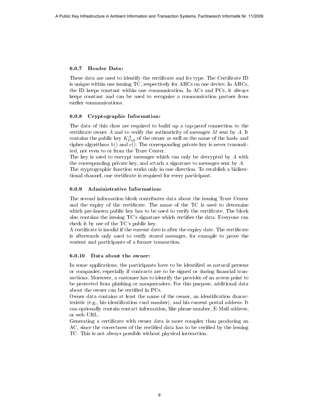#### 6.0.7 Header Data:

These data are used to identify the certificate and its type. The Certificate ID is unique within one issuing TC, respectively for AHCs on one device. In AHCs, the ID keeps constant within one communication. In ACs and PCs, it always keeps constant and can be used to recognize a communication partner from earlier communications.

#### 6.0.8 Cryptographic Information:

The data of this class are required to build up a tap-proof connection to the certificate owner  $A$  and to verify the authenticity of messages  $M$  sent by  $A$ . It contains the public key  $K_{Pub}^A$  of the owner as well as the name of the hash- and cipher-algorithms  $h()$  and  $c()$ . The corresponding private key is never transmitted, not even to or from the Trust Center.

The key is used to encrypt messages which can only be decrypted by A with the corresponding private key, and attach a signature to messages sent by A.

The cryptographic function works only in one direction. To establish a bidirectional channel, one certificate is required for every participant.

#### 6.0.9 Administrative Information:

The second information block contributes data about the issuing Trust Center and the expiry of the certificate. The name of the TC is used to determine which pre-known public key has to be used to verify the certificate. The block also contains the issuing  $TC$ 's signature which certifies the data. Everyone can check it by use of the TC's public key.

A certificate is invalid if the current date is after the expiry date. The certificate is afterwards only used to verify stored messages, for example to prove the content and participants of a former transaction.

#### 6.0.10 Data about the owner:

In some applications, the participants have to be identified as natural persons or companies, especially if contracts are to be signed or during financial transactions. Moreover, a customer has to identify the provider of an access point to be protected from phishing or masqueraders. For this purpose, additional data about the owner can be certified in PCs.

Owner data contains at least the name of the owner, an identification characteristic (e.g., his identification card number), and his current postal address. It can optionally contain contact information, like phone number, E-Mail address, or web URL.

Generating a certificate with owner data is more complex than producing an AC, since the correctness of the certified data has to be verified by the issuing TC. This is not always possible without physical interaction.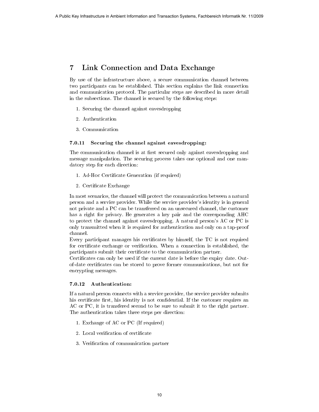# 7 Link Connection and Data Exchange

By use of the infrastructure above, a secure communication channel between two participants can be established. This section explains the link connection and communication protocol. The particular steps are described in more detail in the subsections. The channel is secured by the following steps:

- 1. Securing the channel against eavesdropping
- 2. Authentication
- 3. Communication

#### 7.0.11 Securing the channel against eavesdropping:

The communication channel is at first secured only against eavesdropping and message manipulation. The securing process takes one optional and one mandatory step for each direction:

- 1. Ad-Hoc Certificate Generation (if required)
- 2. Certificate Exchange

In most scenarios, the channel will protect the communication between a natural person and a service provider. While the service provider's identity is in general not private and a PC can be transferred on an unsecured channel, the customer has a right for privacy. He generates a key pair and the corresponding AHC to protect the channel against eavesdropping. A natural person's AC or PC is only transmitted when it is required for authentication and only on a tap-proof channel. A Public Key Infrastructure in Ambient Information and Transaction Systems, Fachbereich Information By two of the information control and Transaction denotes the particular and transaction and Transaction and Transaction

Every participant manages his certificates by himself, the TC is not required for certificate exchange or verification. When a connection is established, the participants submit their certificate to the communication partner.

Certificates can only be used if the current date is before the expiry date. Outof-date certicates can be stored to prove former communications, but not for encrypting messages.

#### 7.0.12 Authentication:

If a natural person connects with a service provider, the service provider submits his certificate first, his identity is not confidential. If the customer requires an AC or PC, it is transfered second to be sure to submit it to the right partner. The authentication takes three steps per direction:

- 1. Exchange of AC or PC (If required)
- 2. Local verification of certificate
- 3. Verification of communication partner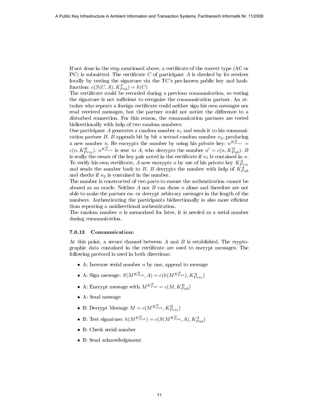If not done in the step mentioned above, a certificate of the correct type (AC or PC) is submitted. The certificate  $C$  of participant  $A$  is checked by its receiver locally by testing the signature via the TC's pre-known public key and hashfunction:  $c(S(C, A), K_{Pub}^T) = h(C)$ 

The certificate could be recorded during a previous communication, so testing the signature is not sufficient to recognize the communication partner. An attacker who repeats a foreign certificate could neither sign his own messages nor read received messages, but the partner could not notice the difference to a disturbed connection. For this reason, the communication partners are tested bidirectionally with help of two random numbers:

One participant A generates a random number  $n_1$  and sends it to his communication partner B. B appends bit by bit a second random number  $n_2$ , producing a new number *n*. He encrypts the number by using his private key:  $n^{K_{Priv}^B}$  $c(n, K_{Priv}^B)$ .  $n^{K_{Priv}^B}$  is sent to A, who decrypts the number  $n' = c(n, K_{Pub}^B)$ . B is really the owner of the key pair noted in the certificate if  $n_1$  is contained in n. To verify his own certificate, A now encrypts n by use of his private key  $K_{Priv}^A$ and sends the number back to B. B decrypts the number with help of  $K_{Pub}^A$ and checks if  $n_2$  is contained in the number. A Public Key Infrastructure in Ambient Information and Transaction Systems, Fachbereich Information  $\mathbf{R}^T$ . The expected in Ambient Information and Transaction and Transaction and Transaction and Transaction and Trans

The number is constructed of two parts to ensure the authentication cannot be abused as an oracle. Neither A nor B can chose  $n$  alone and therefore are not able to make the partner en- or decrypt arbitrary messages in the length of the numbers. Authenticating the participants bidirectionally is also more efficient than repeating a unidirectional authentication.

The random number  $n$  is memorized for later, it is needed as a serial number during communication.

#### 7.0.13 Communication:

At this point, a secure channel between A and B is established. The cryptographic data contained in the certificate are used to encrypt messages. The following protocol is used in both directions:

- A: Increase serial number  $n$  by one, append to message
- A: Sign message:  $S(M^{K_{Pub}^B}, A) = c(h(M^{K_{Pub}^B}}), K_{Priv}^A)$
- A: Encrypt message with  $M^{K_{Pub}^B}} = c(M, K_{Pub}^B)$
- A: Send message
- B: Decrypt Message  $M = c(M^{K_{Pub}^B}, K_{Priv}^B)$
- B: Test signature:  $h(M^{K_{Pub}^B}}) = c(S(M^{K_{Pub}^B}}, A), K_{Pub}^A)$
- B: Check serial number
- B: Send acknowledgement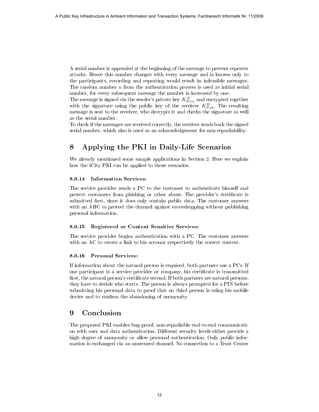A serial number is appended at the beginning of the message to prevent repeater attacks. Hence this number changes with every message and is known only to the participants, recording and repeating would result in infeasible messages. The random number  $n$  from the authentication process is used as initial serial number, for every subsequent message the number is increased by one.

The message is signed via the sender's private key  $K_{Priv}^A$  and encrypted together with the signature using the public key of the receiver  $K_{Pub}^B$ . The resulting message is sent to the receiver, who decrypts it and checks the signature as well as the serial number.

To check if the messages are received correctly, the receiver sends back the signed serial number, which also is used as an acknowledgement for non-repudiability.

# 8 Applying the PKI in Daily-Life Scenarios

We already mentioned some sample applications in Section 2. Here we explain how the iCity PKI can be applied to those scenarios.

#### 8.0.14 Information Services:

The service provider sends a PC to the customer to authenticate himself and protect customers from phishing or other abuse. The provider's certificate is submitted first, since it does only contain public data. The customer answers with an AHC to protect the channel against eavesdropping without publishing personal information.

#### 8.0.15 Registered or Context Sensitive Services:

The service provider begins authentication with a PC. The customer answers with an AC to create a link to his account respectively the correct context.

#### 8.0.16 Personal Services:

If information about the natural person is required, both partners use a PCs. If one participant is a service provider or company, his certificate is transmitted first, the natural person's certificate second. If both partners are natural persons, they have to decide who starts. The person is always prompted for a PIN before submitting his personal data to proof that no third person is using his mobile device and to confirm the abandoning of anonymity. A Public Key Infrastructure in Ambient Information and Transaction Systems, Fachbereich Information and Ambient Information and Ambient Information and Transaction and Transaction and Transaction System in the state of th

## 9 Conclusion

The proposed PKI enables bug-proof, non-repudiable end-to-end communication with user and data authentication. Different security levels either provide a high degree of anonymity or allow personal authentication. Only public information is exchanged via an unsecured channel. No connection to a Trust Center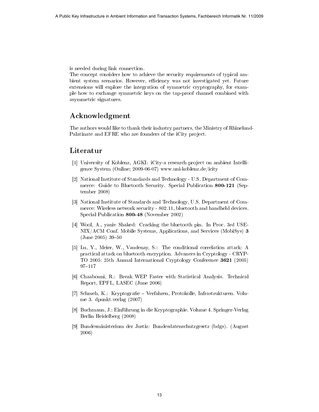is needed during link connection.

The concept considers how to achieve the security requirements of typical ambient system scenarios. However, efficiency was not investigated yet. Future extensions will explore the integration of symmetric cryptography, for example how to exchange symmetric keys on the tap-proof channel combined with asymmetric signatures. A Public Key Infrastructure in Ambient Information and Transaction Systems, Fachbereich Information and<br>
The current considers the current interaction and Transaction Ambient Information and Transaction and Transaction Sy

## Acknowledgment

The authors would like to thank their industry partners, the Ministry of Rhineland-Palatinate and EFRE who are founders of the iCity project.

### Literatur

- [1] University of Koblenz, AGKI: iCity-a research project on ambient Intelligence System (Online; 2009-06-07) www.uni-koblenz.de/icity
- [2] National Institute of Standards and Technology U.S. Department of Commerce: Guide to Bluetooth Security. Special Publication 800-121 (September 2008)
- [3] National Institute of Standards and Technology, U.S. Department of Commerce: Wireless network security - 802.11, bluetooth and handheld devices. Special Publication 800-48 (November 2002)
- [4] Wool, A., yaniv Shaked: Cracking the bluetooth pin. In Proc. 3rd USE-NIX/ACM Conf. Mobile Systems, Applications, and Services (MobiSys) 3  $(June 2005) 39-50$
- [5] Lu, Y., Meier, W., Vaudenay, S.: The conditional correlation attack: A practical attack on bluetooth encryption. Advances in Cryptology - CRYP-TO 2005: 25th Annual International Cryptology Conference 3621 (2005) 97-117
- [6] Chaabouni, R.: Break WEP Faster with Statistical Analysis. Technical Report, EPFL, LASEC (June 2006)
- [7] Schmeh, K.: Kryptografie Verfahren, Protokolle, Infrastrukturen. Volume 3. dpunkt.verlag (2007)
- [8] Buchmann, J.: Einführung in die Kryptographie. Volume 4. Springer-Verlag Berlin Heidelberg (2008)
- [9] Bundesministerium der Justiz: Bundesdatenschutzgesetz (bdgs). (August 2006)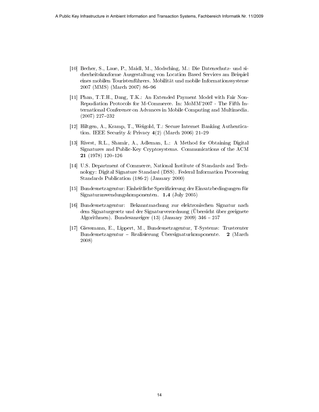- [10] Becher, S., Laue, P., Maidl, M., Modsching, M.: Die Datenschutz- und sicherheitskonforme Ausgestaltung von Location Based Services am Beispiel eines mobilen Touristenführers. Mobilität und mobile Informationssysteme 2007 (MMS) (March 2007) 86–96
- [11] Phan, T.T.H., Dang, T.K.: An Extended Payment Model with Fair Non-Repudiation Protocols for M-Commerce. In: MoMM'2007 - The Fifth International Conference on Advances in Mobile Computing and Multimedia.  $(2007)$  227-232 14 Public Key Infrastructure in Ambient Information and Transaction Systems, Fachbereich Information and Transaction and Transaction and Transaction and Transaction and Transaction and Transaction Systems and Transaction
	- [12] Hiltgen, A., Kramp, T., Weigold, T.: Secure Internet Banking Authentication. IEEE Security & Privacy  $4(2)$  (March 2006) 21-29
	- [13] Rivest, R.L., Shamir, A., Adleman, L.: A Method for Obtaining Digital Signatures and Public-Key Cryptosystems. Communications of the ACM  $21$  (1978) 120-126
	- [14] U.S. Department of Commerce, National Institute of Standards and Technology: Digital Signature Standard (DSS). Federal Information Processing Standards Publication (186-2) (January 2000)
	- [15] Bundesnetzagentur: Einheitliche Spezifizierung der Einsatzbedingungen für Signaturanwendungskomponenten. 1.4 (July 2005)
	- [16] Bundesnetzagentur: Bekanntmachung zur elektronischen Signatur nach dem Signaturgesetz und der Signaturverordnung (Übersicht über geeignete Algorithmen). Bundesanzeiger  $(13)$  (January 2009) 346 - 257
	- [17] Giessmann, E., Lippert, M., Bundesnetzagentur, T-Systems: Trustcenter Bundesnetzagentur – Realisierung Übersignaturkomponente. 2 (March 2008)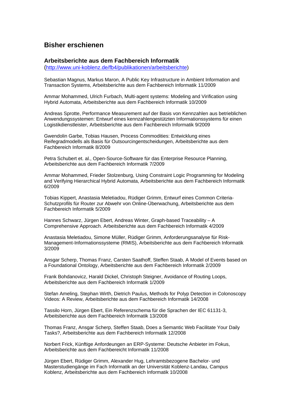# **Bisher erschienen**

### **Arbeitsberichte aus dem Fachbereich Informatik**

(<http://www.uni-koblenz.de/fb4/publikationen/arbeitsberichte>)

Sebastian Magnus, Markus Maron, A Public Key Infrastructure in Ambient Information and Transaction Systems, Arbeitsberichte aus dem Fachbereich Informatik 11/2009

Ammar Mohammed, Ulrich Furbach, Multi-agent systems: Modeling and Virification using Hybrid Automata, Arbeitsberichte aus dem Fachbereich Informatik 10/2009

Andreas Sprotte, Performance Measurement auf der Basis von Kennzahlen aus betrieblichen Anwendungssystemen: Entwurf eines kennzahlengestützten Informationssystems für einen Logistikdienstleister, Arbeitsberichte aus dem Fachbereich Informatik 9/2009

Gwendolin Garbe, Tobias Hausen, Process Commodities: Entwicklung eines Reifegradmodells als Basis für Outsourcingentscheidungen, Arbeitsberichte aus dem Fachbereich Informatik 8/2009

Petra Schubert et. al., Open-Source-Software für das Enterprise Resource Planning, Arbeitsberichte aus dem Fachbereich Informatik 7/2009

Ammar Mohammed, Frieder Stolzenburg, Using Constraint Logic Programming for Modeling and Verifying Hierarchical Hybrid Automata, Arbeitsberichte aus dem Fachbereich Informatik 6/2009

Tobias Kippert, Anastasia Meletiadou, Rüdiger Grimm, Entwurf eines Common Criteria-Schutzprofils für Router zur Abwehr von Online-Überwachung, Arbeitsberichte aus dem Fachbereich Informatik 5/2009

Hannes Schwarz, Jürgen Ebert, Andreas Winter, Graph-based Traceability – A Comprehensive Approach. Arbeitsberichte aus dem Fachbereich Informatik 4/2009

Anastasia Meletiadou, Simone Müller, Rüdiger Grimm, Anforderungsanalyse für Risk-Management-Informationssysteme (RMIS), Arbeitsberichte aus dem Fachbereich Informatik 3/2009

Ansgar Scherp, Thomas Franz, Carsten Saathoff, Steffen Staab, A Model of Events based on a Foundational Ontology, Arbeitsberichte aus dem Fachbereich Informatik 2/2009

Frank Bohdanovicz, Harald Dickel, Christoph Steigner, Avoidance of Routing Loops, Arbeitsberichte aus dem Fachbereich Informatik 1/2009

Stefan Ameling, Stephan Wirth, Dietrich Paulus, Methods for Polyp Detection in Colonoscopy Videos: A Review, Arbeitsberichte aus dem Fachbereich Informatik 14/2008

Tassilo Horn, Jürgen Ebert, Ein Referenzschema für die Sprachen der IEC 61131-3, Arbeitsberichte aus dem Fachbereich Informatik 13/2008

Thomas Franz, Ansgar Scherp, Steffen Staab, Does a Semantic Web Facilitate Your Daily Tasks?, Arbeitsberichte aus dem Fachbereich Informatik 12/2008

Norbert Frick, Künftige Anfordeungen an ERP-Systeme: Deutsche Anbieter im Fokus, Arbeitsberichte aus dem Fachbereicht Informatik 11/2008

Jürgen Ebert, Rüdiger Grimm, Alexander Hug, Lehramtsbezogene Bachelor- und Masterstudiengänge im Fach Informatik an der Universität Koblenz-Landau, Campus Koblenz, Arbeitsberichte aus dem Fachbereich Informatik 10/2008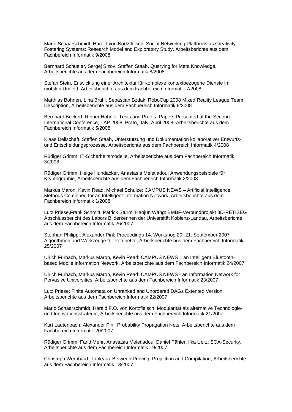Mario Schaarschmidt, Harald von Kortzfleisch, Social Networking Platforms as Creativity Fostering Systems: Research Model and Exploratory Study, Arbeitsberichte aus dem Fachbereich Informatik 9/2008

Bernhard Schueler, Sergej Sizov, Steffen Staab, Querying for Meta Knowledge, Arbeitsberichte aus dem Fachbereich Informatik 8/2008

Stefan Stein, Entwicklung einer Architektur für komplexe kontextbezogene Dienste im mobilen Umfeld, Arbeitsberichte aus dem Fachbereich Informatik 7/2008

Matthias Bohnen, Lina Brühl, Sebastian Bzdak, RoboCup 2008 Mixed Reality League Team Description, Arbeitsberichte aus dem Fachbereich Informatik 6/2008

Bernhard Beckert, Reiner Hähnle, Tests and Proofs: Papers Presented at the Second International Conference, TAP 2008, Prato, Italy, April 2008, Arbeitsberichte aus dem Fachbereich Informatik 5/2008

Klaas Dellschaft, Steffen Staab, Unterstützung und Dokumentation kollaborativer Entwurfsund Entscheidungsprozesse, Arbeitsberichte aus dem Fachbereich Informatik 4/2008

Rüdiger Grimm: IT-Sicherheitsmodelle, Arbeitsberichte aus dem Fachbereich Informatik 3/2008

Rüdiger Grimm, Helge Hundacker, Anastasia Meletiadou: Anwendungsbeispiele für Kryptographie, Arbeitsberichte aus dem Fachbereich Informatik 2/2008

Markus Maron, Kevin Read, Michael Schulze: CAMPUS NEWS – Artificial Intelligence Methods Combined for an Intelligent Information Network, Arbeitsberichte aus dem Fachbereich Informatik 1/2008

Lutz Priese,Frank Schmitt, Patrick Sturm, Haojun Wang: BMBF-Verbundprojekt 3D-RETISEG Abschlussbericht des Labors Bilderkennen der Universität Koblenz-Landau, Arbeitsberichte aus dem Fachbereich Informatik 26/2007

Stephan Philippi, Alexander Pinl: Proceedings 14. Workshop 20.-21. September 2007 Algorithmen und Werkzeuge für Petrinetze, Arbeitsberichte aus dem Fachbereich Informatik 25/2007

Ulrich Furbach, Markus Maron, Kevin Read: CAMPUS NEWS – an Intelligent Bluetoothbased Mobile Information Network, Arbeitsberichte aus dem Fachbereich Informatik 24/2007

Ulrich Furbach, Markus Maron, Kevin Read: CAMPUS NEWS - an Information Network for Pervasive Universities, Arbeitsberichte aus dem Fachbereich Informatik 23/2007

Lutz Priese: Finite Automata on Unranked and Unordered DAGs Extented Version, Arbeitsberichte aus dem Fachbereich Informatik 22/2007

Mario Schaarschmidt, Harald F.O. von Kortzfleisch: Modularität als alternative Technologieund Innovationsstrategie, Arbeitsberichte aus dem Fachbereich Informatik 21/2007

Kurt Lautenbach, Alexander Pinl: Probability Propagation Nets, Arbeitsberichte aus dem Fachbereich Informatik 20/2007

Rüdiger Grimm, Farid Mehr, Anastasia Meletiadou, Daniel Pähler, Ilka Uerz: SOA-Security, Arbeitsberichte aus dem Fachbereich Informatik 19/2007

Christoph Wernhard: Tableaux Between Proving, Projection and Compilation, Arbeitsberichte aus dem Fachbereich Informatik 18/2007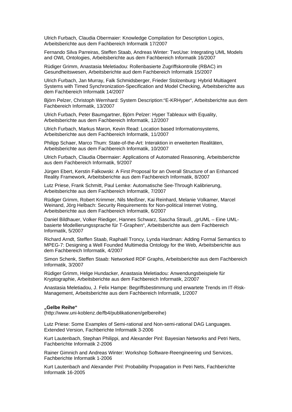Ulrich Furbach, Claudia Obermaier: Knowledge Compilation for Description Logics, Arbeitsberichte aus dem Fachbereich Informatik 17/2007

Fernando Silva Parreiras, Steffen Staab, Andreas Winter: TwoUse: Integrating UML Models and OWL Ontologies, Arbeitsberichte aus dem Fachbereich Informatik 16/2007

Rüdiger Grimm, Anastasia Meletiadou: Rollenbasierte Zugriffskontrolle (RBAC) im Gesundheitswesen, Arbeitsberichte aud dem Fachbereich Informatik 15/2007

Ulrich Furbach, Jan Murray, Falk Schmidsberger, Frieder Stolzenburg: Hybrid Multiagent Systems with Timed Synchronization-Specification and Model Checking, Arbeitsberichte aus dem Fachbereich Informatik 14/2007

Björn Pelzer, Christoph Wernhard: System Description:"E-KRHyper", Arbeitsberichte aus dem Fachbereich Informatik, 13/2007

Ulrich Furbach, Peter Baumgartner, Björn Pelzer: Hyper Tableaux with Equality, Arbeitsberichte aus dem Fachbereich Informatik, 12/2007

Ulrich Furbach, Markus Maron, Kevin Read: Location based Informationsystems, Arbeitsberichte aus dem Fachbereich Informatik, 11/2007

Philipp Schaer, Marco Thum: State-of-the-Art: Interaktion in erweiterten Realitäten, Arbeitsberichte aus dem Fachbereich Informatik, 10/2007

Ulrich Furbach, Claudia Obermaier: Applications of Automated Reasoning, Arbeitsberichte aus dem Fachbereich Informatik, 9/2007

Jürgen Ebert, Kerstin Falkowski: A First Proposal for an Overall Structure of an Enhanced Reality Framework, Arbeitsberichte aus dem Fachbereich Informatik, 8/2007

Lutz Priese, Frank Schmitt, Paul Lemke: Automatische See-Through Kalibrierung, Arbeitsberichte aus dem Fachbereich Informatik, 7/2007

Rüdiger Grimm, Robert Krimmer, Nils Meißner, Kai Reinhard, Melanie Volkamer, Marcel Weinand, Jörg Helbach: Security Requirements for Non-political Internet Voting, Arbeitsberichte aus dem Fachbereich Informatik, 6/2007

Daniel Bildhauer, Volker Riediger, Hannes Schwarz, Sascha Strauß, "grUML – Eine UMLbasierte Modellierungssprache für T-Graphen", Arbeitsberichte aus dem Fachbereich Informatik, 5/2007

Richard Arndt, Steffen Staab, Raphaël Troncy, Lynda Hardman: Adding Formal Semantics to MPEG-7: Designing a Well Founded Multimedia Ontology for the Web, Arbeitsberichte aus dem Fachbereich Informatik, 4/2007

Simon Schenk, Steffen Staab: Networked RDF Graphs, Arbeitsberichte aus dem Fachbereich Informatik, 3/2007

Rüdiger Grimm, Helge Hundacker, Anastasia Meletiadou: Anwendungsbeispiele für Kryptographie, Arbeitsberichte aus dem Fachbereich Informatik, 2/2007

Anastasia Meletiadou, J. Felix Hampe: Begriffsbestimmung und erwartete Trends im IT-Risk-Management, Arbeitsberichte aus dem Fachbereich Informatik, 1/2007

#### **"Gelbe Reihe"**

(http://www.uni-koblenz.de/fb4/publikationen/gelbereihe)

Lutz Priese: Some Examples of Semi-rational and Non-semi-rational DAG Languages. Extended Version, Fachberichte Informatik 3-2006

Kurt Lautenbach, Stephan Philippi, and Alexander Pinl: Bayesian Networks and Petri Nets, Fachberichte Informatik 2-2006

Rainer Gimnich and Andreas Winter: Workshop Software-Reengineering und Services, Fachberichte Informatik 1-2006

[Kurt Lautenbach](http://www.uni-koblenz.de/%7Eag-pn/html/mitarbeiter/mitarbeiter.html) and [Alexander Pinl](http://www.uni-koblenz.de/%7Eag-pn/html/mitarbeiter/apinl.html): Probability Propagation in Petri Nets, Fachberichte Informatik 16-2005